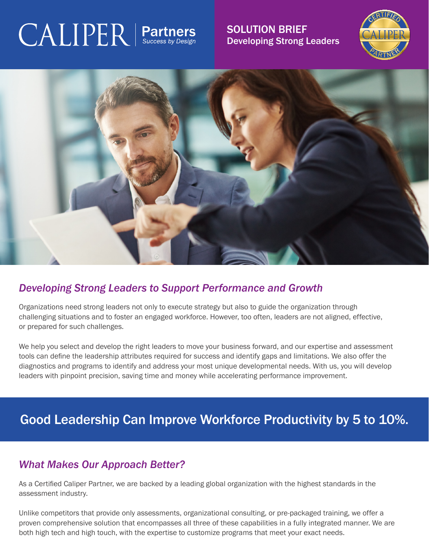## $\text{CALIPER}$  | Partr

SOLUTION BRIEF Developing Strong Leaders





## *Developing Strong Leaders to Support Performance and Growth*

Organizations need strong leaders not only to execute strategy but also to guide the organization through challenging situations and to foster an engaged workforce. However, too often, leaders are not aligned, effective, or prepared for such challenges.

We help you select and develop the right leaders to move your business forward, and our expertise and assessment tools can define the leadership attributes required for success and identify gaps and limitations. We also offer the diagnostics and programs to identify and address your most unique developmental needs. With us, you will develop leaders with pinpoint precision, saving time and money while accelerating performance improvement.

## Good Leadership Can Improve Workforce Productivity by 5 to 10%.

## *What Makes Our Approach Better?*

As a Certified Caliper Partner, we are backed by a leading global organization with the highest standards in the assessment industry.

Unlike competitors that provide only assessments, organizational consulting, or pre-packaged training, we offer a proven comprehensive solution that encompasses all three of these capabilities in a fully integrated manner. We are both high tech and high touch, with the expertise to customize programs that meet your exact needs.